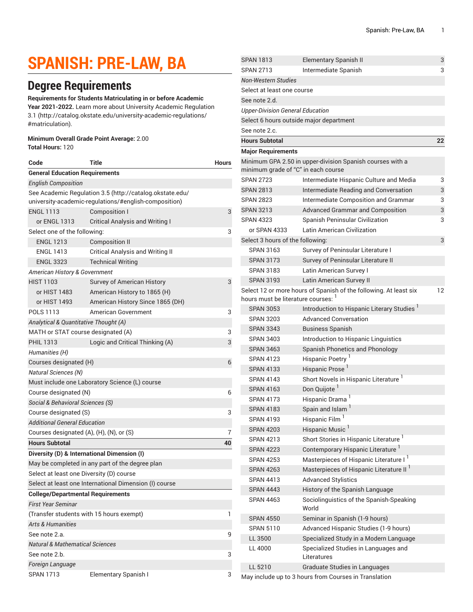# **SPANISH: PRE-LAW, BA**

## **Degree Requirements**

**Requirements for Students Matriculating in or before Academic Year 2021-2022.** Learn more about University Academic [Regulation](http://catalog.okstate.edu/university-academic-regulations/#matriculation) [3.1](http://catalog.okstate.edu/university-academic-regulations/#matriculation) ([http://catalog.okstate.edu/university-academic-regulations/](http://catalog.okstate.edu/university-academic-regulations/#matriculation) [#matriculation\)](http://catalog.okstate.edu/university-academic-regulations/#matriculation).

#### **Minimum Overall Grade Point Average:** 2.00

**Total Hours:** 120

| Code                                                     | <b>Title</b>                                    | <b>Hours</b> |  |  |
|----------------------------------------------------------|-------------------------------------------------|--------------|--|--|
| <b>General Education Requirements</b>                    |                                                 |              |  |  |
| <b>English Composition</b>                               |                                                 |              |  |  |
| See Academic Regulation 3.5 (http://catalog.okstate.edu/ |                                                 |              |  |  |
| university-academic-regulations/#english-composition)    |                                                 |              |  |  |
| <b>ENGL 1113</b>                                         | Composition I                                   | 3            |  |  |
| or ENGL 1313                                             | <b>Critical Analysis and Writing I</b>          |              |  |  |
| Select one of the following:                             |                                                 |              |  |  |
| <b>ENGL 1213</b>                                         | <b>Composition II</b>                           |              |  |  |
| <b>ENGL 1413</b>                                         | <b>Critical Analysis and Writing II</b>         |              |  |  |
| <b>ENGL 3323</b>                                         | <b>Technical Writing</b>                        |              |  |  |
| American History & Government                            |                                                 |              |  |  |
| <b>HIST 1103</b>                                         | Survey of American History                      | 3            |  |  |
| or HIST 1483                                             | American History to 1865 (H)                    |              |  |  |
| or HIST 1493                                             | American History Since 1865 (DH)                |              |  |  |
| <b>POLS 1113</b>                                         | American Government                             | 3            |  |  |
| Analytical & Quantitative Thought (A)                    |                                                 |              |  |  |
| MATH or STAT course designated (A)                       |                                                 |              |  |  |
| <b>PHIL 1313</b>                                         | Logic and Critical Thinking (A)                 | 3            |  |  |
| Humanities (H)                                           |                                                 |              |  |  |
| Courses designated (H)                                   |                                                 |              |  |  |
| Natural Sciences (N)                                     |                                                 |              |  |  |
| Must include one Laboratory Science (L) course           |                                                 |              |  |  |
| Course designated (N)                                    |                                                 |              |  |  |
| Social & Behavioral Sciences (S)                         |                                                 |              |  |  |
| Course designated (S)                                    |                                                 |              |  |  |
| Additional General Education                             |                                                 |              |  |  |
| Courses designated (A), (H), (N), or (S)                 |                                                 |              |  |  |
| <b>Hours Subtotal</b>                                    |                                                 | 40           |  |  |
|                                                          | Diversity (D) & International Dimension (I)     |              |  |  |
|                                                          | May be completed in any part of the degree plan |              |  |  |
| Select at least one Diversity (D) course                 |                                                 |              |  |  |
| Select at least one International Dimension (I) course   |                                                 |              |  |  |
| <b>College/Departmental Requirements</b>                 |                                                 |              |  |  |
| First Year Seminar                                       |                                                 |              |  |  |
| (Transfer students with 15 hours exempt)                 |                                                 | 1            |  |  |
| <b>Arts &amp; Humanities</b>                             |                                                 |              |  |  |
| See note 2.a.                                            |                                                 | 9            |  |  |
| <b>Natural &amp; Mathematical Sciences</b>               |                                                 |              |  |  |
| See note 2.b.                                            |                                                 | 3            |  |  |
| Foreign Language                                         |                                                 |              |  |  |
| <b>SPAN 1713</b>                                         | Elementary Spanish I                            | 3            |  |  |

| <b>SPAN 1813</b>                        | Elementary Spanish II                                             | 3  |
|-----------------------------------------|-------------------------------------------------------------------|----|
| <b>SPAN 2713</b>                        | Intermediate Spanish                                              | 3  |
| <b>Non-Western Studies</b>              |                                                                   |    |
| Select at least one course              |                                                                   |    |
| See note 2.d.                           |                                                                   |    |
| <b>Upper-Division General Education</b> |                                                                   |    |
|                                         | Select 6 hours outside major department                           |    |
| See note 2.c.                           |                                                                   |    |
| <b>Hours Subtotal</b>                   |                                                                   | 22 |
| <b>Major Requirements</b>               |                                                                   |    |
|                                         | Minimum GPA 2.50 in upper-division Spanish courses with a         |    |
| minimum grade of "C" in each course     |                                                                   |    |
| <b>SPAN 2723</b>                        | Intermediate Hispanic Culture and Media                           | 3  |
| <b>SPAN 2813</b>                        | Intermediate Reading and Conversation                             | 3  |
| <b>SPAN 2823</b>                        | Intermediate Composition and Grammar                              | 3  |
| <b>SPAN 3213</b>                        | <b>Advanced Grammar and Composition</b>                           | 3  |
| <b>SPAN 4323</b>                        | Spanish Peninsular Civilization                                   | 3  |
| or SPAN 4333                            | Latin American Civilization                                       |    |
| Select 3 hours of the following:        |                                                                   | 3  |
| <b>SPAN 3163</b>                        | Survey of Peninsular Literature I                                 |    |
| <b>SPAN 3173</b>                        | Survey of Peninsular Literature II                                |    |
| <b>SPAN 3183</b>                        | Latin American Survey I                                           |    |
| <b>SPAN 3193</b>                        | Latin American Survey II                                          |    |
|                                         | Select 12 or more hours of Spanish of the following. At least six | 12 |
| hours must be literature courses:       |                                                                   |    |
| <b>SPAN 3053</b>                        | Introduction to Hispanic Literary Studies <sup>1</sup>            |    |
| <b>SPAN 3203</b>                        | <b>Advanced Conversation</b>                                      |    |
| <b>SPAN 3343</b>                        | <b>Business Spanish</b>                                           |    |
| <b>SPAN 3403</b>                        | Introduction to Hispanic Linguistics                              |    |
| <b>SPAN 3463</b>                        | Spanish Phonetics and Phonology                                   |    |
| <b>SPAN 4123</b>                        | Hispanic Poetry                                                   |    |
| <b>SPAN 4133</b>                        | Hispanic Prose <sup>1</sup>                                       |    |
| <b>SPAN 4143</b>                        | Short Novels in Hispanic Literature <sup>1</sup>                  |    |
| <b>SPAN 4163</b>                        | Don Quijote <sup>1</sup>                                          |    |
| <b>SPAN 4173</b>                        | Hispanic Drama <sup>1</sup>                                       |    |
| <b>SPAN 4183</b>                        | Spain and Islam <sup>1</sup>                                      |    |
| <b>SPAN 4193</b>                        | Hispanic Film <sup>1</sup>                                        |    |
| <b>SPAN 4203</b>                        | Hispanic Music <sup>1</sup>                                       |    |
| <b>SPAN 4213</b>                        | Short Stories in Hispanic Literature <sup>1</sup>                 |    |
| <b>SPAN 4223</b>                        | Contemporary Hispanic Literature <sup>1</sup>                     |    |
| <b>SPAN 4253</b>                        | Masterpieces of Hispanic Literature I <sup>1</sup>                |    |
| <b>SPAN 4263</b>                        | Masterpieces of Hispanic Literature II <sup>1</sup>               |    |
| SPAN 4413                               | <b>Advanced Stylistics</b>                                        |    |
| <b>SPAN 4443</b>                        | History of the Spanish Language                                   |    |
| <b>SPAN 4463</b>                        | Sociolinguistics of the Spanish-Speaking<br>World                 |    |
| <b>SPAN 4550</b>                        | Seminar in Spanish (1-9 hours)                                    |    |
| <b>SPAN 5110</b>                        | Advanced Hispanic Studies (1-9 hours)                             |    |
| LL 3500                                 | Specialized Study in a Modern Language                            |    |
| LL 4000                                 | Specialized Studies in Languages and<br>Literatures               |    |
| LL 5210                                 | <b>Graduate Studies in Languages</b>                              |    |
|                                         |                                                                   |    |

May include up to 3 hours from Courses in Translation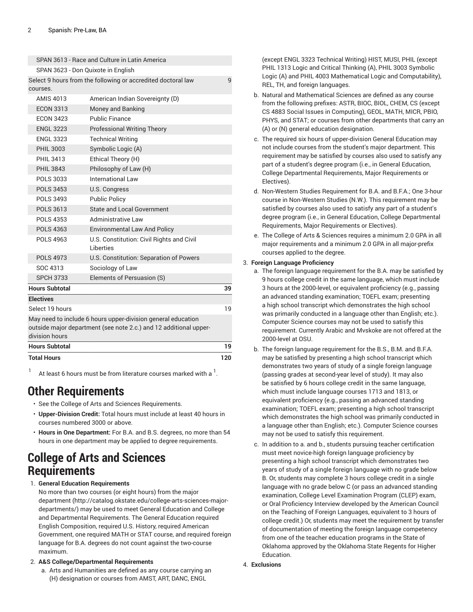| <b>FNGL 3323</b>      | <b>Technical Writing</b>                                                                                                          |     |
|-----------------------|-----------------------------------------------------------------------------------------------------------------------------------|-----|
| <b>PHIL 3003</b>      | Symbolic Logic (A)                                                                                                                |     |
| <b>PHIL 3413</b>      | Ethical Theory (H)                                                                                                                |     |
| <b>PHIL 3843</b>      | Philosophy of Law (H)                                                                                                             |     |
| POLS 3033             | International Law                                                                                                                 |     |
| <b>POLS 3453</b>      | U.S. Congress                                                                                                                     |     |
| <b>POLS 3493</b>      | <b>Public Policy</b>                                                                                                              |     |
| <b>POLS 3613</b>      | <b>State and Local Government</b>                                                                                                 |     |
| POLS 4353             | Administrative Law                                                                                                                |     |
| <b>POLS 4363</b>      | <b>Environmental Law And Policy</b>                                                                                               |     |
| <b>POLS 4963</b>      | U.S. Constitution: Civil Rights and Civil<br>I iberties                                                                           |     |
| <b>POLS 4973</b>      | U.S. Constitution: Separation of Powers                                                                                           |     |
| SOC 4313              | Sociology of Law                                                                                                                  |     |
| <b>SPCH 3733</b>      | Elements of Persuasion (S)                                                                                                        |     |
| <b>Hours Subtotal</b> |                                                                                                                                   | 39  |
| <b>Electives</b>      |                                                                                                                                   |     |
| Select 19 hours       |                                                                                                                                   | 19  |
| division hours        | May need to include 6 hours upper-division general education<br>outside major department (see note 2.c.) and 12 additional upper- |     |
| <b>Hours Subtotal</b> |                                                                                                                                   | 19  |
| <b>Total Hours</b>    |                                                                                                                                   | 120 |
|                       |                                                                                                                                   |     |

1 At least 6 hours must be from literature courses marked with a  $^{\mathrm{1}}$ .

### **Other Requirements**

- See the College of Arts and Sciences Requirements.
- **Upper-Division Credit:** Total hours must include at least 40 hours in courses numbered 3000 or above.
- **Hours in One Department:** For B.A. and B.S. degrees, no more than 54 hours in one department may be applied to degree requirements.

### **College of Arts and Sciences Requirements**

1. **General Education Requirements**

No more than two courses (or eight hours) from [the major](http://catalog.okstate.edu/college-arts-sciences-major-departments/) [department \(http://catalog.okstate.edu/college-arts-sciences-major](http://catalog.okstate.edu/college-arts-sciences-major-departments/)[departments/](http://catalog.okstate.edu/college-arts-sciences-major-departments/)) may be used to meet General Education and College and Departmental Requirements. The General Education required English Composition, required U.S. History, required American Government, one required MATH or STAT course, and required foreign language for B.A. degrees do not count against the two-course maximum.

- 2. **A&S College/Departmental Requirements**
	- a. Arts and Humanities are defined as any course carrying an (H) designation or courses from AMST, ART, DANC, ENGL

(except ENGL 3323 Technical Writing) HIST, MUSI, PHIL (except PHIL 1313 Logic and Critical Thinking (A), PHIL 3003 Symbolic Logic (A) and PHIL 4003 Mathematical Logic and Computability), REL, TH, and foreign languages.

- b. Natural and Mathematical Sciences are defined as any course from the following prefixes: ASTR, BIOC, BIOL, CHEM, CS (except CS 4883 Social Issues in Computing), GEOL, MATH, MICR, PBIO, PHYS, and STAT; or courses from other departments that carry an (A) or (N) general education designation.
- c. The required six hours of upper-division General Education may not include courses from the student's major department. This requirement may be satisfied by courses also used to satisfy any part of a student's degree program (i.e., in General Education, College Departmental Requirements, Major Requirements or Electives).
- d. Non-Western Studies Requirement for B.A. and B.F.A.; One 3-hour course in Non-Western Studies (N.W.). This requirement may be satisfied by courses also used to satisfy any part of a student's degree program (i.e., in General Education, College Departmental Requirements, Major Requirements or Electives).
- e. The College of Arts & Sciences requires a minimum 2.0 GPA in all major requirements and a minimum 2.0 GPA in all major-prefix courses applied to the degree.

#### 3. **Foreign Language Proficiency**

- a. The foreign language requirement for the B.A. may be satisfied by 9 hours college credit in the same language, which must include 3 hours at the 2000-level, or equivalent proficiency (e.g., passing an advanced standing examination; TOEFL exam; presenting a high school transcript which demonstrates the high school was primarily conducted in a language other than English; etc.). Computer Science courses may not be used to satisfy this requirement. Currently Arabic and Mvskoke are not offered at the 2000-level at OSU.
- b. The foreign language requirement for the B.S., B.M. and B.F.A. may be satisfied by presenting a high school transcript which demonstrates two years of study of a single foreign language (passing grades at second-year level of study). It may also be satisfied by 6 hours college credit in the same language, which must include language courses 1713 and 1813, or equivalent proficiency (e.g., passing an advanced standing examination; TOEFL exam; presenting a high school transcript which demonstrates the high school was primarily conducted in a language other than English; etc.). Computer Science courses may not be used to satisfy this requirement.
- c. In addition to a. and b., students pursuing teacher certification must meet novice-high foreign language proficiency by presenting a high school transcript which demonstrates two years of study of a single foreign language with no grade below B. Or, students may complete 3 hours college credit in a single language with no grade below C (or pass an advanced standing examination, College Level Examination Program (CLEP) exam, or Oral Proficiency Interview developed by the American Council on the Teaching of Foreign Languages, equivalent to 3 hours of college credit.) Or, students may meet the requirement by transfer of documentation of meeting the foreign language competency from one of the teacher education programs in the State of Oklahoma approved by the Oklahoma State Regents for Higher Education.
- 4. **Exclusions**